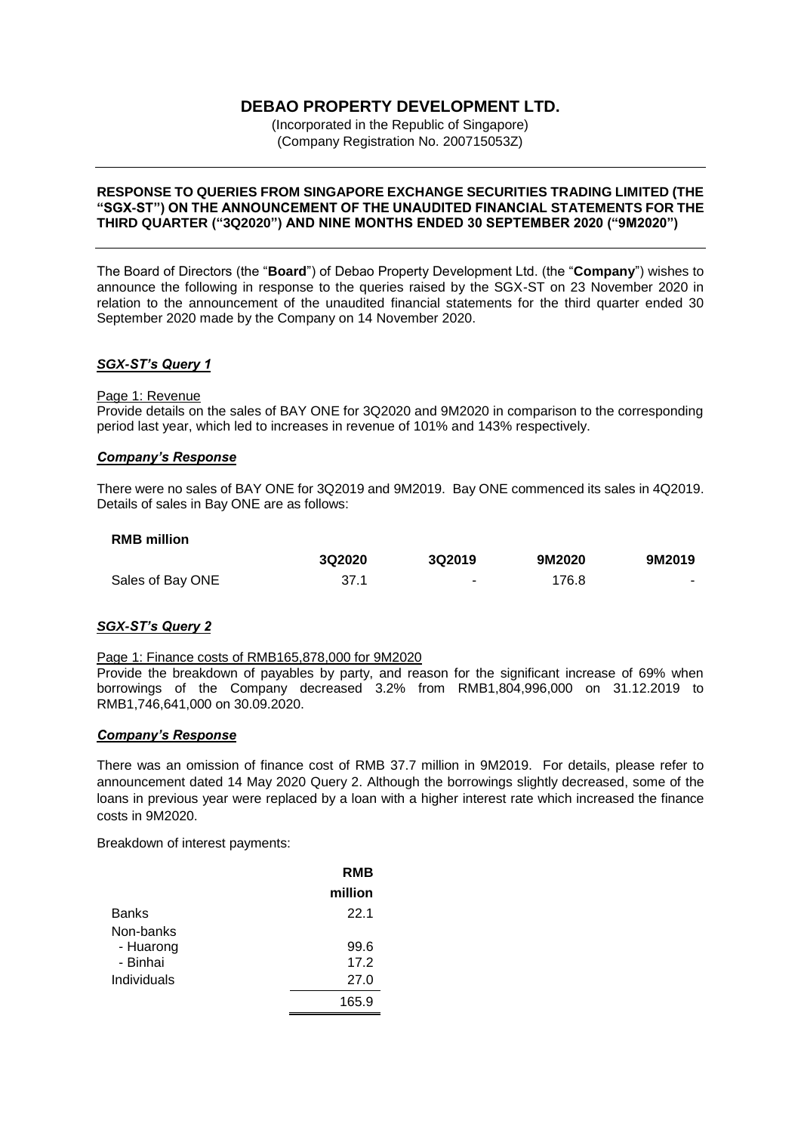# **DEBAO PROPERTY DEVELOPMENT LTD.**

(Incorporated in the Republic of Singapore) (Company Registration No. 200715053Z)

### **RESPONSE TO QUERIES FROM SINGAPORE EXCHANGE SECURITIES TRADING LIMITED (THE "SGX-ST") ON THE ANNOUNCEMENT OF THE UNAUDITED FINANCIAL STATEMENTS FOR THE THIRD QUARTER ("3Q2020") AND NINE MONTHS ENDED 30 SEPTEMBER 2020 ("9M2020")**

The Board of Directors (the "**Board**") of Debao Property Development Ltd. (the "**Company**") wishes to announce the following in response to the queries raised by the SGX-ST on 23 November 2020 in relation to the announcement of the unaudited financial statements for the third quarter ended 30 September 2020 made by the Company on 14 November 2020.

## *SGX-ST's Query 1*

#### Page 1: Revenue

Provide details on the sales of BAY ONE for 3Q2020 and 9M2020 in comparison to the corresponding period last year, which led to increases in revenue of 101% and 143% respectively.

### *Company's Response*

There were no sales of BAY ONE for 3Q2019 and 9M2019. Bay ONE commenced its sales in 4Q2019. Details of sales in Bay ONE are as follows:

| <b>RMB million</b> |        |        |        |        |
|--------------------|--------|--------|--------|--------|
|                    | 3Q2020 | 3Q2019 | 9M2020 | 9M2019 |
| Sales of Bay ONE   | 37.1   | $\sim$ | 176.8  |        |

### *SGX-ST's Query 2*

### Page 1: Finance costs of RMB165,878,000 for 9M2020

Provide the breakdown of payables by party, and reason for the significant increase of 69% when borrowings of the Company decreased 3.2% from RMB1,804,996,000 on 31.12.2019 to RMB1,746,641,000 on 30.09.2020.

### *Company's Response*

There was an omission of finance cost of RMB 37.7 million in 9M2019. For details, please refer to announcement dated 14 May 2020 Query 2. Although the borrowings slightly decreased, some of the loans in previous year were replaced by a loan with a higher interest rate which increased the finance costs in 9M2020.

Breakdown of interest payments:

|              | <b>RMB</b> |
|--------------|------------|
|              | million    |
| <b>Banks</b> | 22.1       |
| Non-banks    |            |
| - Huarong    | 99.6       |
| - Binhai     | 17.2       |
| Individuals  | 27.0       |
|              | 165.9      |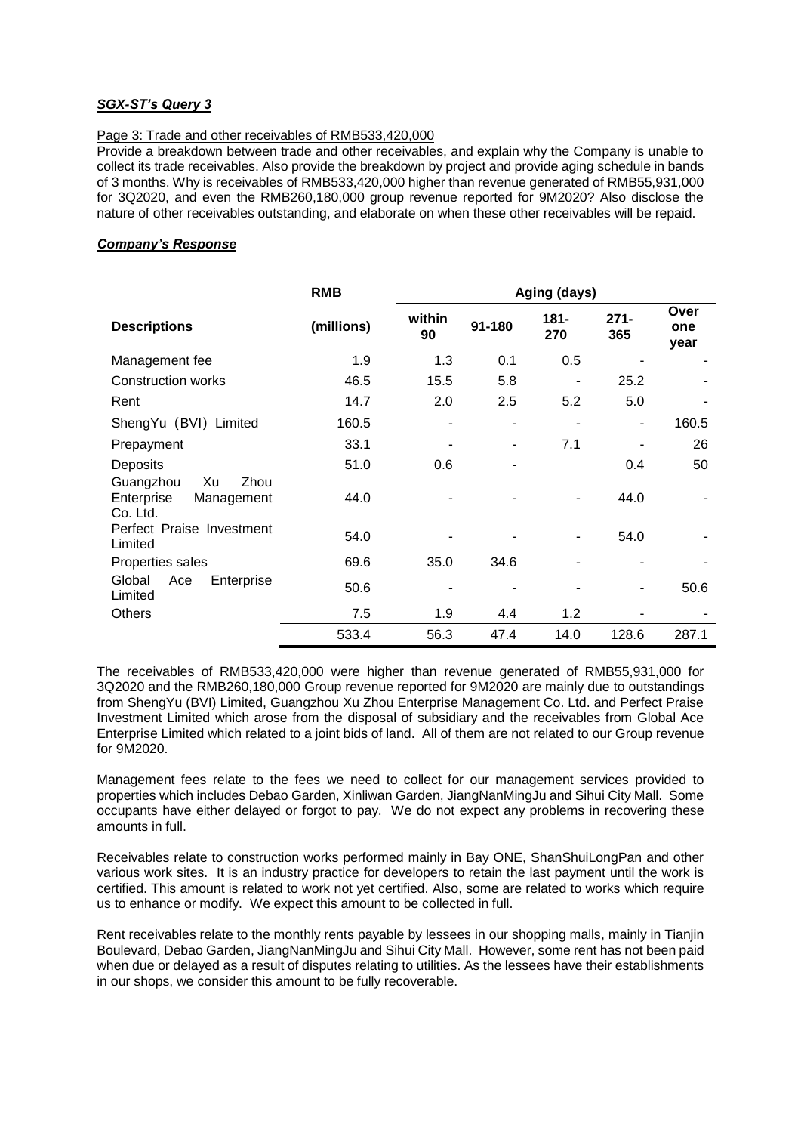## *SGX-ST's Query 3*

## Page 3: Trade and other receivables of RMB533,420,000

Provide a breakdown between trade and other receivables, and explain why the Company is unable to collect its trade receivables. Also provide the breakdown by project and provide aging schedule in bands of 3 months. Why is receivables of RMB533,420,000 higher than revenue generated of RMB55,931,000 for 3Q2020, and even the RMB260,180,000 group revenue reported for 9M2020? Also disclose the nature of other receivables outstanding, and elaborate on when these other receivables will be repaid.

## *Company's Response*

|                                                                 | <b>RMB</b> | Aging (days) |        |             |                |                     |
|-----------------------------------------------------------------|------------|--------------|--------|-------------|----------------|---------------------|
| <b>Descriptions</b>                                             | (millions) | within<br>90 | 91-180 | 181-<br>270 | $271 -$<br>365 | Over<br>one<br>year |
| Management fee                                                  | 1.9        | 1.3          | 0.1    | 0.5         |                |                     |
| <b>Construction works</b>                                       | 46.5       | 15.5         | 5.8    |             | 25.2           |                     |
| Rent                                                            | 14.7       | 2.0          | 2.5    | 5.2         | 5.0            |                     |
| ShengYu (BVI) Limited                                           | 160.5      |              |        |             |                | 160.5               |
| Prepayment                                                      | 33.1       |              | ۰      | 7.1         |                | 26                  |
| Deposits                                                        | 51.0       | 0.6          |        |             | 0.4            | 50                  |
| Xu<br>Zhou<br>Guangzhou<br>Enterprise<br>Management<br>Co. Ltd. | 44.0       |              |        |             | 44.0           |                     |
| Perfect Praise Investment<br>Limited                            | 54.0       |              |        |             | 54.0           |                     |
| Properties sales                                                | 69.6       | 35.0         | 34.6   |             |                |                     |
| Global<br>Ace<br>Enterprise<br>Limited                          | 50.6       |              |        |             |                | 50.6                |
| <b>Others</b>                                                   | 7.5        | 1.9          | 4.4    | 1.2         |                |                     |
|                                                                 | 533.4      | 56.3         | 47.4   | 14.0        | 128.6          | 287.1               |

The receivables of RMB533,420,000 were higher than revenue generated of RMB55,931,000 for 3Q2020 and the RMB260,180,000 Group revenue reported for 9M2020 are mainly due to outstandings from ShengYu (BVI) Limited, Guangzhou Xu Zhou Enterprise Management Co. Ltd. and Perfect Praise Investment Limited which arose from the disposal of subsidiary and the receivables from Global Ace Enterprise Limited which related to a joint bids of land. All of them are not related to our Group revenue for 9M2020.

Management fees relate to the fees we need to collect for our management services provided to properties which includes Debao Garden, Xinliwan Garden, JiangNanMingJu and Sihui City Mall. Some occupants have either delayed or forgot to pay. We do not expect any problems in recovering these amounts in full.

Receivables relate to construction works performed mainly in Bay ONE, ShanShuiLongPan and other various work sites. It is an industry practice for developers to retain the last payment until the work is certified. This amount is related to work not yet certified. Also, some are related to works which require us to enhance or modify. We expect this amount to be collected in full.

Rent receivables relate to the monthly rents payable by lessees in our shopping malls, mainly in Tianjin Boulevard, Debao Garden, JiangNanMingJu and Sihui City Mall. However, some rent has not been paid when due or delayed as a result of disputes relating to utilities. As the lessees have their establishments in our shops, we consider this amount to be fully recoverable.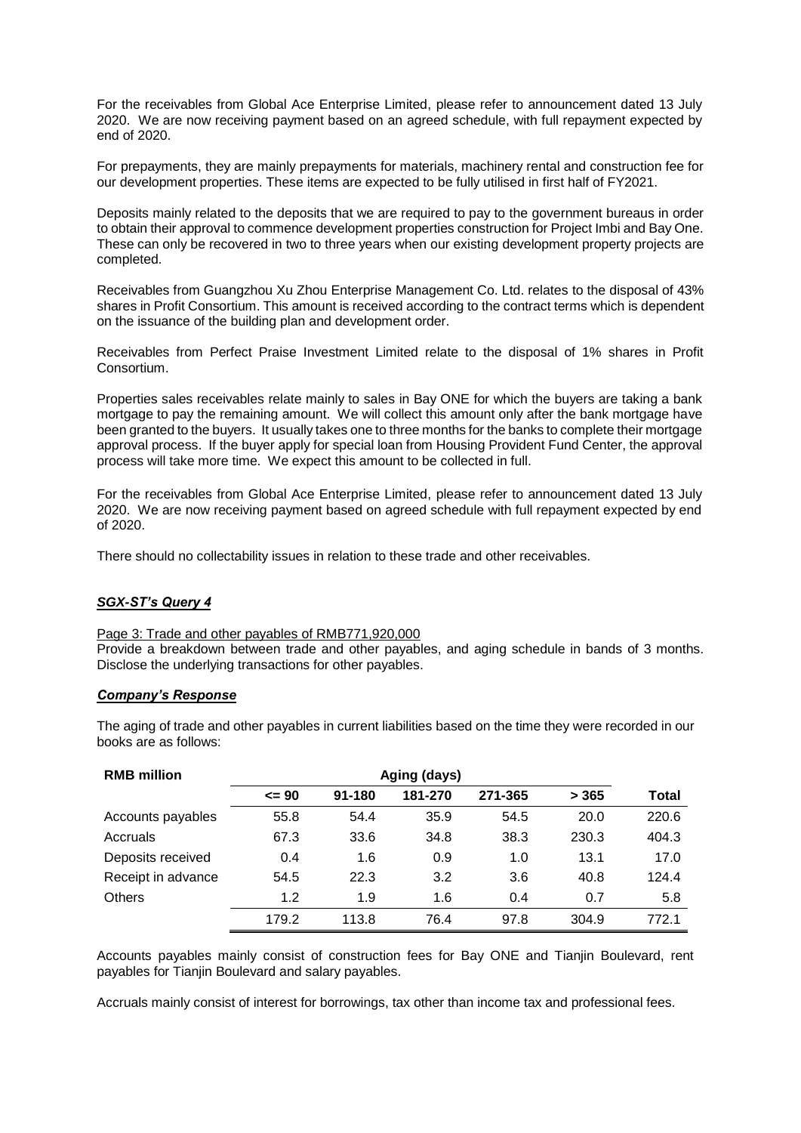For the receivables from Global Ace Enterprise Limited, please refer to announcement dated 13 July 2020. We are now receiving payment based on an agreed schedule, with full repayment expected by end of 2020.

For prepayments, they are mainly prepayments for materials, machinery rental and construction fee for our development properties. These items are expected to be fully utilised in first half of FY2021.

Deposits mainly related to the deposits that we are required to pay to the government bureaus in order to obtain their approval to commence development properties construction for Project Imbi and Bay One. These can only be recovered in two to three years when our existing development property projects are completed.

Receivables from Guangzhou Xu Zhou Enterprise Management Co. Ltd. relates to the disposal of 43% shares in Profit Consortium. This amount is received according to the contract terms which is dependent on the issuance of the building plan and development order.

Receivables from Perfect Praise Investment Limited relate to the disposal of 1% shares in Profit Consortium.

Properties sales receivables relate mainly to sales in Bay ONE for which the buyers are taking a bank mortgage to pay the remaining amount. We will collect this amount only after the bank mortgage have been granted to the buyers. It usually takes one to three months for the banks to complete their mortgage approval process. If the buyer apply for special loan from Housing Provident Fund Center, the approval process will take more time. We expect this amount to be collected in full.

For the receivables from Global Ace Enterprise Limited, please refer to announcement dated 13 July 2020. We are now receiving payment based on agreed schedule with full repayment expected by end of 2020.

There should no collectability issues in relation to these trade and other receivables.

## *SGX-ST's Query 4*

Page 3: Trade and other payables of RMB771,920,000 Provide a breakdown between trade and other payables, and aging schedule in bands of 3 months. Disclose the underlying transactions for other payables.

### *Company's Response*

The aging of trade and other payables in current liabilities based on the time they were recorded in our books are as follows:

| <b>RMB million</b> | Aging (days) |        |         |         |       |       |
|--------------------|--------------|--------|---------|---------|-------|-------|
|                    | $\leq$ 90    | 91-180 | 181-270 | 271-365 | > 365 | Total |
| Accounts payables  | 55.8         | 54.4   | 35.9    | 54.5    | 20.0  | 220.6 |
| Accruals           | 67.3         | 33.6   | 34.8    | 38.3    | 230.3 | 404.3 |
| Deposits received  | 0.4          | 1.6    | 0.9     | 1.0     | 13.1  | 17.0  |
| Receipt in advance | 54.5         | 22.3   | 3.2     | 3.6     | 40.8  | 124.4 |
| <b>Others</b>      | 1.2          | 1.9    | 1.6     | 0.4     | 0.7   | 5.8   |
|                    | 179.2        | 113.8  | 76.4    | 97.8    | 304.9 | 772.1 |

Accounts payables mainly consist of construction fees for Bay ONE and Tianjin Boulevard, rent payables for Tianjin Boulevard and salary payables.

Accruals mainly consist of interest for borrowings, tax other than income tax and professional fees.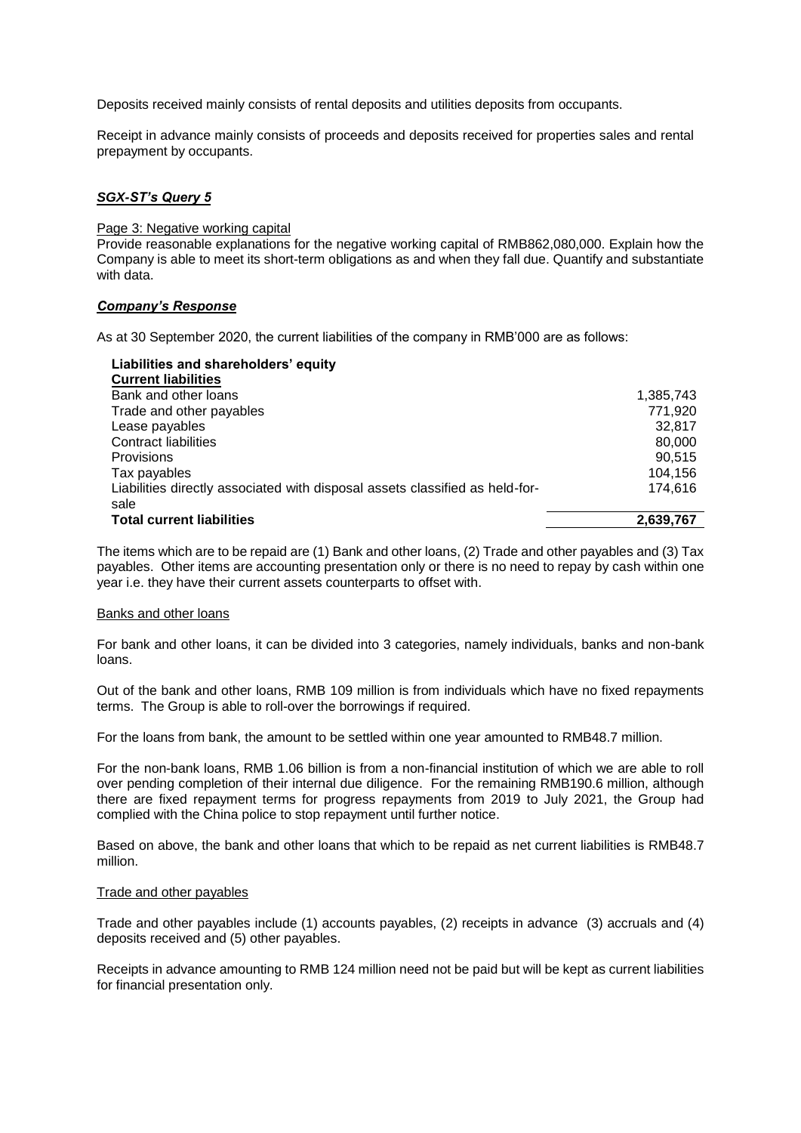Deposits received mainly consists of rental deposits and utilities deposits from occupants.

Receipt in advance mainly consists of proceeds and deposits received for properties sales and rental prepayment by occupants.

## *SGX-ST's Query 5*

#### Page 3: Negative working capital

Provide reasonable explanations for the negative working capital of RMB862,080,000. Explain how the Company is able to meet its short-term obligations as and when they fall due. Quantify and substantiate with data.

### *Company's Response*

As at 30 September 2020, the current liabilities of the company in RMB'000 are as follows:

| Liabilities and shareholders' equity                                         |           |
|------------------------------------------------------------------------------|-----------|
| <b>Current liabilities</b>                                                   |           |
| Bank and other loans                                                         | 1,385,743 |
| Trade and other payables                                                     | 771.920   |
| Lease payables                                                               | 32,817    |
| Contract liabilities                                                         | 80,000    |
| Provisions                                                                   | 90.515    |
| Tax payables                                                                 | 104,156   |
| Liabilities directly associated with disposal assets classified as held-for- | 174.616   |
| sale                                                                         |           |
| <b>Total current liabilities</b>                                             | 2,639,767 |

The items which are to be repaid are (1) Bank and other loans, (2) Trade and other payables and (3) Tax payables. Other items are accounting presentation only or there is no need to repay by cash within one year i.e. they have their current assets counterparts to offset with.

#### Banks and other loans

For bank and other loans, it can be divided into 3 categories, namely individuals, banks and non-bank loans.

Out of the bank and other loans, RMB 109 million is from individuals which have no fixed repayments terms. The Group is able to roll-over the borrowings if required.

For the loans from bank, the amount to be settled within one year amounted to RMB48.7 million.

For the non-bank loans, RMB 1.06 billion is from a non-financial institution of which we are able to roll over pending completion of their internal due diligence. For the remaining RMB190.6 million, although there are fixed repayment terms for progress repayments from 2019 to July 2021, the Group had complied with the China police to stop repayment until further notice.

Based on above, the bank and other loans that which to be repaid as net current liabilities is RMB48.7 million.

### Trade and other payables

Trade and other payables include (1) accounts payables, (2) receipts in advance (3) accruals and (4) deposits received and (5) other payables.

Receipts in advance amounting to RMB 124 million need not be paid but will be kept as current liabilities for financial presentation only.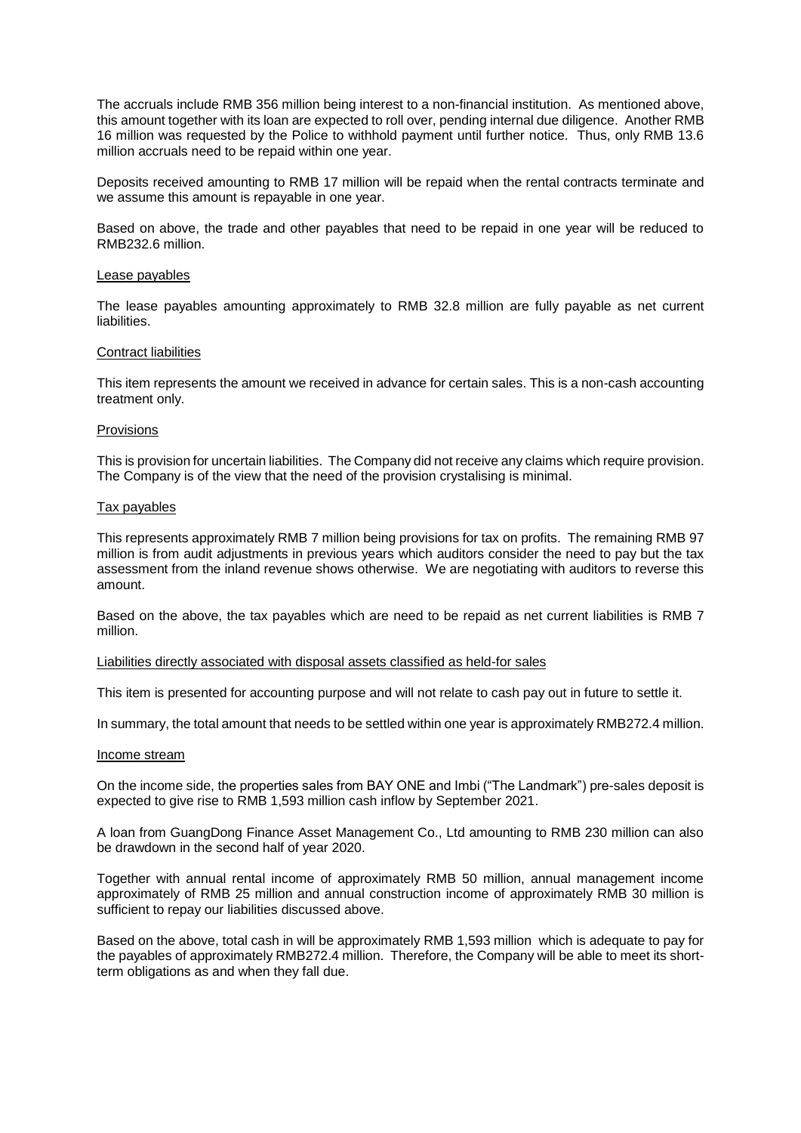The accruals include RMB 356 million being interest to a non-financial institution. As mentioned above, this amount together with its loan are expected to roll over, pending internal due diligence. Another RMB 16 million was requested by the Police to withhold payment until further notice. Thus, only RMB 13.6 million accruals need to be repaid within one year.

Deposits received amounting to RMB 17 million will be repaid when the rental contracts terminate and we assume this amount is repayable in one year.

Based on above, the trade and other payables that need to be repaid in one year will be reduced to RMB232.6 million.

#### Lease payables

The lease payables amounting approximately to RMB 32.8 million are fully payable as net current liabilities.

#### Contract liabilities

This item represents the amount we received in advance for certain sales. This is a non-cash accounting treatment only.

#### Provisions

This is provision for uncertain liabilities. The Company did not receive any claims which require provision. The Company is of the view that the need of the provision crystalising is minimal.

#### Tax payables

This represents approximately RMB 7 million being provisions for tax on profits. The remaining RMB 97 million is from audit adjustments in previous years which auditors consider the need to pay but the tax assessment from the inland revenue shows otherwise. We are negotiating with auditors to reverse this amount.

Based on the above, the tax payables which are need to be repaid as net current liabilities is RMB 7 million.

#### Liabilities directly associated with disposal assets classified as held-for sales

This item is presented for accounting purpose and will not relate to cash pay out in future to settle it.

In summary, the total amount that needs to be settled within one year is approximately RMB272.4 million.

#### Income stream

On the income side, the properties sales from BAY ONE and Imbi ("The Landmark") pre-sales deposit is expected to give rise to RMB 1,593 million cash inflow by September 2021.

A loan from GuangDong Finance Asset Management Co., Ltd amounting to RMB 230 million can also be drawdown in the second half of year 2020.

Together with annual rental income of approximately RMB 50 million, annual management income approximately of RMB 25 million and annual construction income of approximately RMB 30 million is sufficient to repay our liabilities discussed above.

Based on the above, total cash in will be approximately RMB 1,593 million which is adequate to pay for the payables of approximately RMB272.4 million. Therefore, the Company will be able to meet its shortterm obligations as and when they fall due.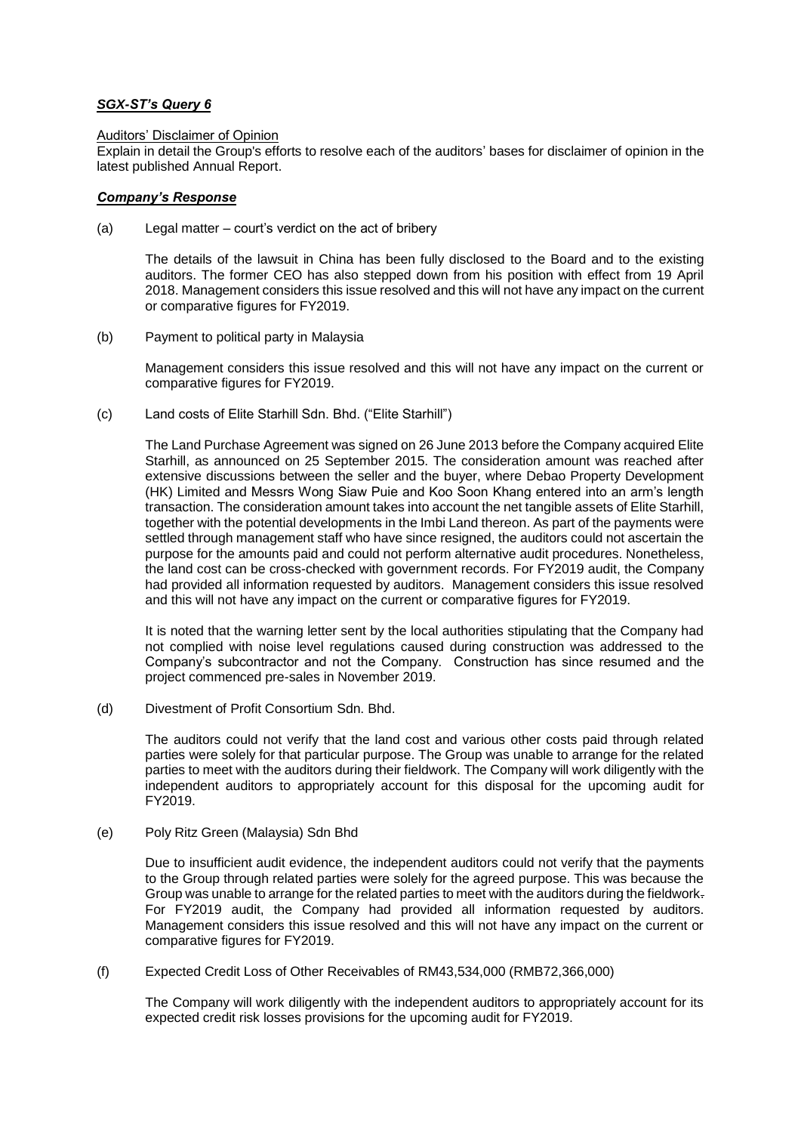## *SGX-ST's Query 6*

## Auditors' Disclaimer of Opinion

Explain in detail the Group's efforts to resolve each of the auditors' bases for disclaimer of opinion in the latest published Annual Report.

## *Company's Response*

(a) Legal matter – court's verdict on the act of bribery

The details of the lawsuit in China has been fully disclosed to the Board and to the existing auditors. The former CEO has also stepped down from his position with effect from 19 April 2018. Management considers this issue resolved and this will not have any impact on the current or comparative figures for FY2019.

(b) Payment to political party in Malaysia

Management considers this issue resolved and this will not have any impact on the current or comparative figures for FY2019.

(c) Land costs of Elite Starhill Sdn. Bhd. ("Elite Starhill")

The Land Purchase Agreement was signed on 26 June 2013 before the Company acquired Elite Starhill, as announced on 25 September 2015. The consideration amount was reached after extensive discussions between the seller and the buyer, where Debao Property Development (HK) Limited and Messrs Wong Siaw Puie and Koo Soon Khang entered into an arm's length transaction. The consideration amount takes into account the net tangible assets of Elite Starhill, together with the potential developments in the Imbi Land thereon. As part of the payments were settled through management staff who have since resigned, the auditors could not ascertain the purpose for the amounts paid and could not perform alternative audit procedures. Nonetheless, the land cost can be cross-checked with government records. For FY2019 audit, the Company had provided all information requested by auditors. Management considers this issue resolved and this will not have any impact on the current or comparative figures for FY2019.

It is noted that the warning letter sent by the local authorities stipulating that the Company had not complied with noise level regulations caused during construction was addressed to the Company's subcontractor and not the Company. Construction has since resumed and the project commenced pre-sales in November 2019.

(d) Divestment of Profit Consortium Sdn. Bhd.

The auditors could not verify that the land cost and various other costs paid through related parties were solely for that particular purpose. The Group was unable to arrange for the related parties to meet with the auditors during their fieldwork. The Company will work diligently with the independent auditors to appropriately account for this disposal for the upcoming audit for FY2019.

(e) Poly Ritz Green (Malaysia) Sdn Bhd

Due to insufficient audit evidence, the independent auditors could not verify that the payments to the Group through related parties were solely for the agreed purpose. This was because the Group was unable to arrange for the related parties to meet with the auditors during the fieldwork. For FY2019 audit, the Company had provided all information requested by auditors. Management considers this issue resolved and this will not have any impact on the current or comparative figures for FY2019.

(f) Expected Credit Loss of Other Receivables of RM43,534,000 (RMB72,366,000)

The Company will work diligently with the independent auditors to appropriately account for its expected credit risk losses provisions for the upcoming audit for FY2019.